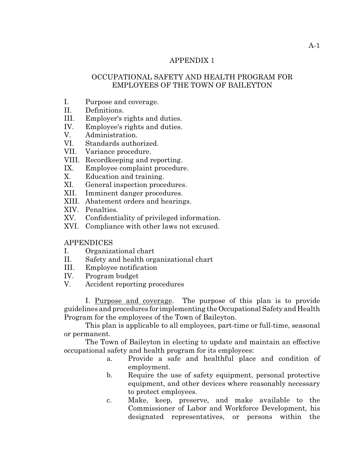#### APPENDIX 1

# OCCUPATIONAL SAFETY AND HEALTH PROGRAM FOR EMPLOYEES OF THE TOWN OF BAILEYTON

- I. Purpose and coverage.
- II. Definitions.
- III. Employer's rights and duties.
- IV. Employee's rights and duties.
- V. Administration.
- VI. Standards authorized.
- VII. Variance procedure.
- VIII. Recordkeeping and reporting.
- IX. Employee complaint procedure.
- X. Education and training.
- XI. General inspection procedures.
- XII. Imminent danger procedures.
- XIII. Abatement orders and hearings.
- XIV. Penalties.
- XV. Confidentiality of privileged information.
- XVI. Compliance with other laws not excused.

## **APPENDICES**

- I. Organizational chart
- II. Safety and health organizational chart
- III. Employee notification
- IV. Program budget
- V. Accident reporting procedures

I. Purpose and coverage. The purpose of this plan is to provide guidelines and procedures for implementing the Occupational Safety and Health Program for the employees of the Town of Baileyton.

This plan is applicable to all employees, part-time or full-time, seasonal or permanent.

The Town of Baileyton in electing to update and maintain an effective occupational safety and health program for its employees:

- a. Provide a safe and healthful place and condition of employment.
- b. Require the use of safety equipment, personal protective equipment, and other devices where reasonably necessary to protect employees.
- c. Make, keep, preserve, and make available to the Commissioner of Labor and Workforce Development, his designated representatives, or persons within the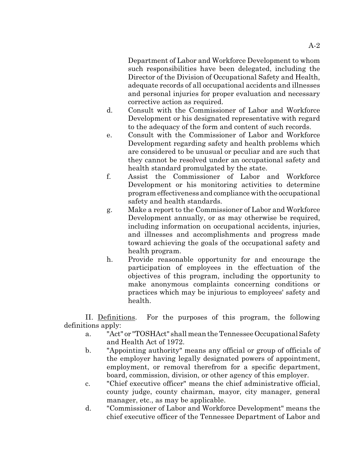Department of Labor and Workforce Development to whom such responsibilities have been delegated, including the Director of the Division of Occupational Safety and Health, adequate records of all occupational accidents and illnesses and personal injuries for proper evaluation and necessary corrective action as required.

- d. Consult with the Commissioner of Labor and Workforce Development or his designated representative with regard to the adequacy of the form and content of such records.
- e. Consult with the Commissioner of Labor and Workforce Development regarding safety and health problems which are considered to be unusual or peculiar and are such that they cannot be resolved under an occupational safety and health standard promulgated by the state.
- f. Assist the Commissioner of Labor and Workforce Development or his monitoring activities to determine program effectiveness and compliance with the occupational safety and health standards.
- g. Make a report to the Commissioner of Labor and Workforce Development annually, or as may otherwise be required, including information on occupational accidents, injuries, and illnesses and accomplishments and progress made toward achieving the goals of the occupational safety and health program.
- h. Provide reasonable opportunity for and encourage the participation of employees in the effectuation of the objectives of this program, including the opportunity to make anonymous complaints concerning conditions or practices which may be injurious to employees' safety and health.

II. Definitions. For the purposes of this program, the following definitions apply:

- a. "Act" or "TOSHAct" shall mean the Tennessee Occupational Safety and Health Act of 1972.
- b. "Appointing authority" means any official or group of officials of the employer having legally designated powers of appointment, employment, or removal therefrom for a specific department, board, commission, division, or other agency of this employer.
- c. "Chief executive officer" means the chief administrative official, county judge, county chairman, mayor, city manager, general manager, etc., as may be applicable.
- d. "Commissioner of Labor and Workforce Development" means the chief executive officer of the Tennessee Department of Labor and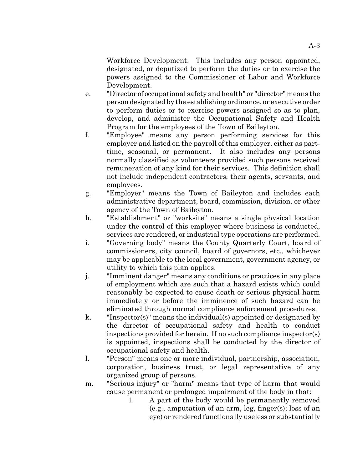Workforce Development. This includes any person appointed, designated, or deputized to perform the duties or to exercise the powers assigned to the Commissioner of Labor and Workforce Development.

- e. "Director of occupational safety and health" or "director" means the person designated by the establishing ordinance, or executive order to perform duties or to exercise powers assigned so as to plan, develop, and administer the Occupational Safety and Health Program for the employees of the Town of Baileyton.
- f. "Employee" means any person performing services for this employer and listed on the payroll of this employer, either as parttime, seasonal, or permanent. It also includes any persons normally classified as volunteers provided such persons received remuneration of any kind for their services. This definition shall not include independent contractors, their agents, servants, and employees.
- g. "Employer" means the Town of Baileyton and includes each administrative department, board, commission, division, or other agency of the Town of Baileyton.
- h. "Establishment" or "worksite" means a single physical location under the control of this employer where business is conducted, services are rendered, or industrial type operations are performed.
- i. "Governing body" means the County Quarterly Court, board of commissioners, city council, board of governors, etc., whichever may be applicable to the local government, government agency, or utility to which this plan applies.
- j. "Imminent danger" means any conditions or practices in any place of employment which are such that a hazard exists which could reasonably be expected to cause death or serious physical harm immediately or before the imminence of such hazard can be eliminated through normal compliance enforcement procedures.
- k. "Inspector(s)" means the individual(s) appointed or designated by the director of occupational safety and health to conduct inspections provided for herein. If no such compliance inspector(s) is appointed, inspections shall be conducted by the director of occupational safety and health.
- l. "Person" means one or more individual, partnership, association, corporation, business trust, or legal representative of any organized group of persons.
- m. "Serious injury" or "harm" means that type of harm that would cause permanent or prolonged impairment of the body in that:
	- 1. A part of the body would be permanently removed (e.g., amputation of an arm, leg, finger(s); loss of an eye) or rendered functionally useless or substantially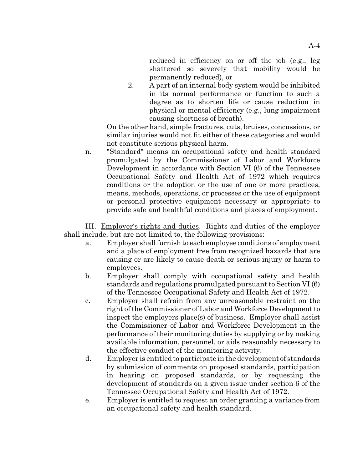reduced in efficiency on or off the job (e.g., leg shattered so severely that mobility would be permanently reduced), or

2. A part of an internal body system would be inhibited in its normal performance or function to such a degree as to shorten life or cause reduction in physical or mental efficiency (e.g., lung impairment causing shortness of breath).

On the other hand, simple fractures, cuts, bruises, concussions, or similar injuries would not fit either of these categories and would not constitute serious physical harm.

n. "Standard" means an occupational safety and health standard promulgated by the Commissioner of Labor and Workforce Development in accordance with Section VI (6) of the Tennessee Occupational Safety and Health Act of 1972 which requires conditions or the adoption or the use of one or more practices, means, methods, operations, or processes or the use of equipment or personal protective equipment necessary or appropriate to provide safe and healthful conditions and places of employment.

III. Employer's rights and duties. Rights and duties of the employer shall include, but are not limited to, the following provisions:

- a. Employer shall furnish to each employee conditions of employment and a place of employment free from recognized hazards that are causing or are likely to cause death or serious injury or harm to employees.
- b. Employer shall comply with occupational safety and health standards and regulations promulgated pursuant to Section VI (6) of the Tennessee Occupational Safety and Health Act of 1972.
- c. Employer shall refrain from any unreasonable restraint on the right of the Commissioner of Labor and Workforce Development to inspect the employers place(s) of business. Employer shall assist the Commissioner of Labor and Workforce Development in the performance of their monitoring duties by supplying or by making available information, personnel, or aids reasonably necessary to the effective conduct of the monitoring activity.
- d. Employer is entitled to participate in the development of standards by submission of comments on proposed standards, participation in hearing on proposed standards, or by requesting the development of standards on a given issue under section 6 of the Tennessee Occupational Safety and Health Act of 1972.
- e. Employer is entitled to request an order granting a variance from an occupational safety and health standard.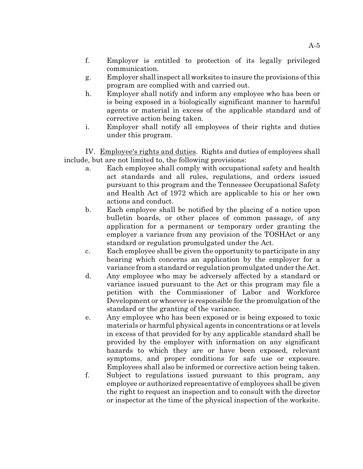- f. Employer is entitled to protection of its legally privileged communication.
- g. Employer shall inspect all worksites to insure the provisions of this program are complied with and carried out.
- h. Employer shall notify and inform any employee who has been or is being exposed in a biologically significant manner to harmful agents or material in excess of the applicable standard and of corrective action being taken.
- i. Employer shall notify all employees of their rights and duties under this program.

IV. Employee's rights and duties. Rights and duties of employees shall include, but are not limited to, the following provisions:

- a. Each employee shall comply with occupational safety and health act standards and all rules, regulations, and orders issued pursuant to this program and the Tennessee Occupational Safety and Health Act of 1972 which are applicable to his or her own actions and conduct.
- b. Each employee shall be notified by the placing of a notice upon bulletin boards, or other places of common passage, of any application for a permanent or temporary order granting the employer a variance from any provision of the TOSHAct or any standard or regulation promulgated under the Act.
- c. Each employee shall be given the opportunity to participate in any hearing which concerns an application by the employer for a variance from a standard or regulation promulgated under the Act.
- d. Any employee who may be adversely affected by a standard or variance issued pursuant to the Act or this program may file a petition with the Commissioner of Labor and Workforce Development or whoever is responsible for the promulgation of the standard or the granting of the variance.
- e. Any employee who has been exposed or is being exposed to toxic materials or harmful physical agents in concentrations or at levels in excess of that provided for by any applicable standard shall be provided by the employer with information on any significant hazards to which they are or have been exposed, relevant symptoms, and proper conditions for safe use or exposure. Employees shall also be informed or corrective action being taken.
- f. Subject to regulations issued pursuant to this program, any employee or authorized representative of employees shall be given the right to request an inspection and to consult with the director or inspector at the time of the physical inspection of the worksite.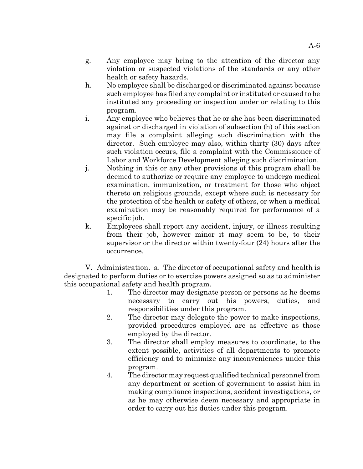- g. Any employee may bring to the attention of the director any violation or suspected violations of the standards or any other health or safety hazards.
- h. No employee shall be discharged or discriminated against because such employee has filed any complaint or instituted or caused to be instituted any proceeding or inspection under or relating to this program.
- i. Any employee who believes that he or she has been discriminated against or discharged in violation of subsection (h) of this section may file a complaint alleging such discrimination with the director. Such employee may also, within thirty (30) days after such violation occurs, file a complaint with the Commissioner of Labor and Workforce Development alleging such discrimination.
- j. Nothing in this or any other provisions of this program shall be deemed to authorize or require any employee to undergo medical examination, immunization, or treatment for those who object thereto on religious grounds, except where such is necessary for the protection of the health or safety of others, or when a medical examination may be reasonably required for performance of a specific job.
- k. Employees shall report any accident, injury, or illness resulting from their job, however minor it may seem to be, to their supervisor or the director within twenty-four (24) hours after the occurrence.

V. Administration. a. The director of occupational safety and health is designated to perform duties or to exercise powers assigned so as to administer this occupational safety and health program.

- 1. The director may designate person or persons as he deems necessary to carry out his powers, duties, and responsibilities under this program.
- 2. The director may delegate the power to make inspections, provided procedures employed are as effective as those employed by the director.
- 3. The director shall employ measures to coordinate, to the extent possible, activities of all departments to promote efficiency and to minimize any inconveniences under this program.
- 4. The director may request qualified technical personnel from any department or section of government to assist him in making compliance inspections, accident investigations, or as he may otherwise deem necessary and appropriate in order to carry out his duties under this program.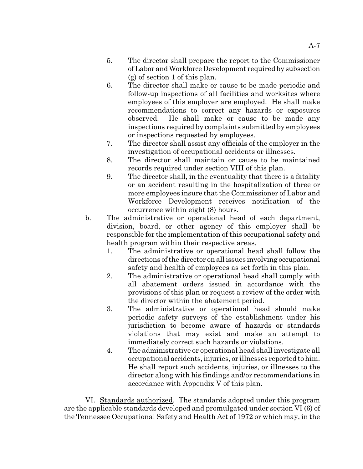- 5. The director shall prepare the report to the Commissioner of Labor and Workforce Development required by subsection (g) of section 1 of this plan.
- 6. The director shall make or cause to be made periodic and follow-up inspections of all facilities and worksites where employees of this employer are employed. He shall make recommendations to correct any hazards or exposures observed. He shall make or cause to be made any inspections required by complaints submitted by employees or inspections requested by employees.
- 7. The director shall assist any officials of the employer in the investigation of occupational accidents or illnesses.
- 8. The director shall maintain or cause to be maintained records required under section VIII of this plan.
- 9. The director shall, in the eventuality that there is a fatality or an accident resulting in the hospitalization of three or more employees insure that the Commissioner of Labor and Workforce Development receives notification of the occurrence within eight (8) hours.
- b. The administrative or operational head of each department, division, board, or other agency of this employer shall be responsible for the implementation of this occupational safety and health program within their respective areas.
	- 1. The administrative or operational head shall follow the directions of the director on all issues involving occupational safety and health of employees as set forth in this plan.
	- 2. The administrative or operational head shall comply with all abatement orders issued in accordance with the provisions of this plan or request a review of the order with the director within the abatement period.
	- 3. The administrative or operational head should make periodic safety surveys of the establishment under his jurisdiction to become aware of hazards or standards violations that may exist and make an attempt to immediately correct such hazards or violations.
	- 4. The administrative or operational head shall investigate all occupational accidents, injuries, or illnesses reported to him. He shall report such accidents, injuries, or illnesses to the director along with his findings and/or recommendations in accordance with Appendix V of this plan.

VI. Standards authorized. The standards adopted under this program are the applicable standards developed and promulgated under section VI (6) of the Tennessee Occupational Safety and Health Act of 1972 or which may, in the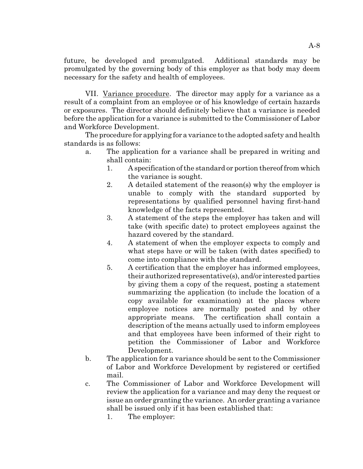future, be developed and promulgated. Additional standards may be promulgated by the governing body of this employer as that body may deem necessary for the safety and health of employees.

VII. Variance procedure. The director may apply for a variance as a result of a complaint from an employee or of his knowledge of certain hazards or exposures. The director should definitely believe that a variance is needed before the application for a variance is submitted to the Commissioner of Labor and Workforce Development.

The procedure for applying for a variance to the adopted safety and health standards is as follows:

- a. The application for a variance shall be prepared in writing and shall contain:
	- 1. A specification of the standard or portion thereof from which the variance is sought.
	- 2. A detailed statement of the reason(s) why the employer is unable to comply with the standard supported by representations by qualified personnel having first-hand knowledge of the facts represented.
	- 3. A statement of the steps the employer has taken and will take (with specific date) to protect employees against the hazard covered by the standard.
	- 4. A statement of when the employer expects to comply and what steps have or will be taken (with dates specified) to come into compliance with the standard.
	- 5. A certification that the employer has informed employees, their authorized representative(s), and/or interested parties by giving them a copy of the request, posting a statement summarizing the application (to include the location of a copy available for examination) at the places where employee notices are normally posted and by other appropriate means. The certification shall contain a description of the means actually used to inform employees and that employees have been informed of their right to petition the Commissioner of Labor and Workforce Development.
- b. The application for a variance should be sent to the Commissioner of Labor and Workforce Development by registered or certified mail.
- c. The Commissioner of Labor and Workforce Development will review the application for a variance and may deny the request or issue an order granting the variance. An order granting a variance shall be issued only if it has been established that:
	- 1. The employer: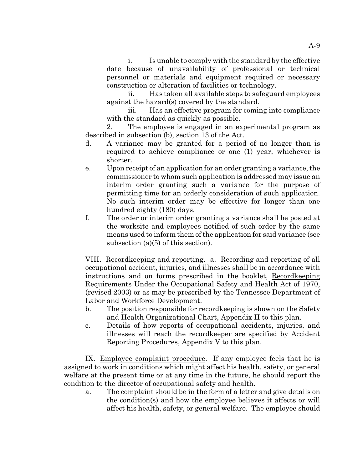i. Is unable to comply with the standard by the effective date because of unavailability of professional or technical personnel or materials and equipment required or necessary construction or alteration of facilities or technology.

ii. Has taken all available steps to safeguard employees against the hazard(s) covered by the standard.

iii. Has an effective program for coming into compliance with the standard as quickly as possible.

2. The employee is engaged in an experimental program as described in subsection (b), section 13 of the Act.

- d. A variance may be granted for a period of no longer than is required to achieve compliance or one (1) year, whichever is shorter.
- e. Upon receipt of an application for an order granting a variance, the commissioner to whom such application is addressed may issue an interim order granting such a variance for the purpose of permitting time for an orderly consideration of such application. No such interim order may be effective for longer than one hundred eighty (180) days.
- f. The order or interim order granting a variance shall be posted at the worksite and employees notified of such order by the same means used to inform them of the application for said variance (see subsection (a)(5) of this section).

VIII. Recordkeeping and reporting. a. Recording and reporting of all occupational accident, injuries, and illnesses shall be in accordance with instructions and on forms prescribed in the booklet, Recordkeeping Requirements Under the Occupational Safety and Health Act of 1970, (revised 2003) or as may be prescribed by the Tennessee Department of Labor and Workforce Development.

- b. The position responsible for recordkeeping is shown on the Safety and Health Organizational Chart, Appendix II to this plan.
- c. Details of how reports of occupational accidents, injuries, and illnesses will reach the recordkeeper are specified by Accident Reporting Procedures, Appendix V to this plan.

IX. Employee complaint procedure. If any employee feels that he is assigned to work in conditions which might affect his health, safety, or general welfare at the present time or at any time in the future, he should report the condition to the director of occupational safety and health.

a. The complaint should be in the form of a letter and give details on the condition(s) and how the employee believes it affects or will affect his health, safety, or general welfare. The employee should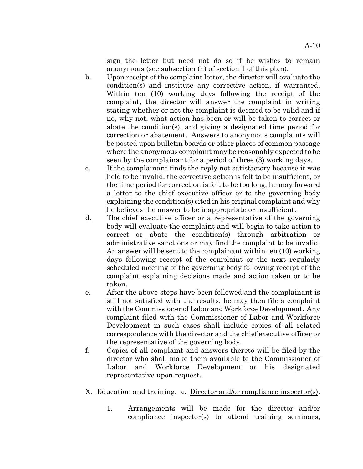sign the letter but need not do so if he wishes to remain anonymous (see subsection (h) of section 1 of this plan).

- b. Upon receipt of the complaint letter, the director will evaluate the condition(s) and institute any corrective action, if warranted. Within ten (10) working days following the receipt of the complaint, the director will answer the complaint in writing stating whether or not the complaint is deemed to be valid and if no, why not, what action has been or will be taken to correct or abate the condition(s), and giving a designated time period for correction or abatement. Answers to anonymous complaints will be posted upon bulletin boards or other places of common passage where the anonymous complaint may be reasonably expected to be seen by the complainant for a period of three (3) working days.
- c. If the complainant finds the reply not satisfactory because it was held to be invalid, the corrective action is felt to be insufficient, or the time period for correction is felt to be too long, he may forward a letter to the chief executive officer or to the governing body explaining the condition(s) cited in his original complaint and why he believes the answer to be inappropriate or insufficient.
- d. The chief executive officer or a representative of the governing body will evaluate the complaint and will begin to take action to correct or abate the condition(s) through arbitration or administrative sanctions or may find the complaint to be invalid. An answer will be sent to the complainant within ten (10) working days following receipt of the complaint or the next regularly scheduled meeting of the governing body following receipt of the complaint explaining decisions made and action taken or to be taken.
- e. After the above steps have been followed and the complainant is still not satisfied with the results, he may then file a complaint with the Commissioner of Labor and Workforce Development. Any complaint filed with the Commissioner of Labor and Workforce Development in such cases shall include copies of all related correspondence with the director and the chief executive officer or the representative of the governing body.
- f. Copies of all complaint and answers thereto will be filed by the director who shall make them available to the Commissioner of Labor and Workforce Development or his designated representative upon request.

## X. Education and training. a. Director and/or compliance inspector(s).

1. Arrangements will be made for the director and/or compliance inspector(s) to attend training seminars,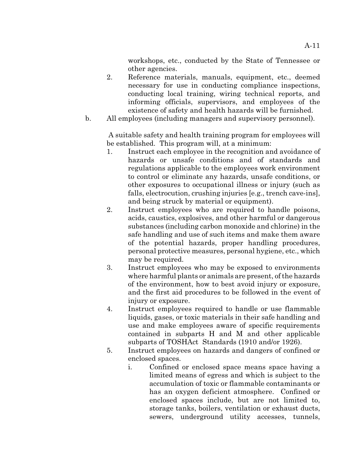workshops, etc., conducted by the State of Tennessee or other agencies.

- 2. Reference materials, manuals, equipment, etc., deemed necessary for use in conducting compliance inspections, conducting local training, wiring technical reports, and informing officials, supervisors, and employees of the existence of safety and health hazards will be furnished.
- b. All employees (including managers and supervisory personnel).

 A suitable safety and health training program for employees will be established. This program will, at a minimum:

- 1. Instruct each employee in the recognition and avoidance of hazards or unsafe conditions and of standards and regulations applicable to the employees work environment to control or eliminate any hazards, unsafe conditions, or other exposures to occupational illness or injury (such as falls, electrocution, crushing injuries [e.g., trench cave-ins], and being struck by material or equipment).
- 2. Instruct employees who are required to handle poisons, acids, caustics, explosives, and other harmful or dangerous substances (including carbon monoxide and chlorine) in the safe handling and use of such items and make them aware of the potential hazards, proper handling procedures, personal protective measures, personal hygiene, etc., which may be required.
- 3. Instruct employees who may be exposed to environments where harmful plants or animals are present, of the hazards of the environment, how to best avoid injury or exposure, and the first aid procedures to be followed in the event of injury or exposure.
- 4. Instruct employees required to handle or use flammable liquids, gases, or toxic materials in their safe handling and use and make employees aware of specific requirements contained in subparts H and M and other applicable subparts of TOSHAct Standards (1910 and/or 1926).
- 5. Instruct employees on hazards and dangers of confined or enclosed spaces.
	- i. Confined or enclosed space means space having a limited means of egress and which is subject to the accumulation of toxic or flammable contaminants or has an oxygen deficient atmosphere. Confined or enclosed spaces include, but are not limited to, storage tanks, boilers, ventilation or exhaust ducts, sewers, underground utility accesses, tunnels,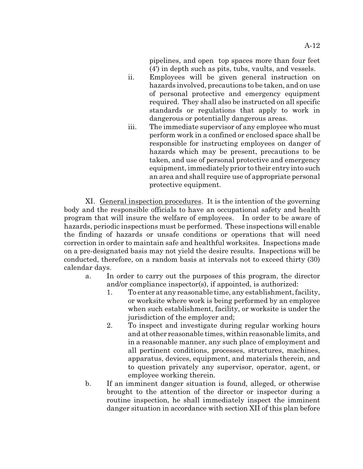pipelines, and open top spaces more than four feet (4') in depth such as pits, tubs, vaults, and vessels.

- ii. Employees will be given general instruction on hazards involved, precautions to be taken, and on use of personal protective and emergency equipment required. They shall also be instructed on all specific standards or regulations that apply to work in dangerous or potentially dangerous areas.
- iii. The immediate supervisor of any employee who must perform work in a confined or enclosed space shall be responsible for instructing employees on danger of hazards which may be present, precautions to be taken, and use of personal protective and emergency equipment, immediately prior to their entry into such an area and shall require use of appropriate personal protective equipment.

XI. General inspection procedures. It is the intention of the governing body and the responsible officials to have an occupational safety and health program that will insure the welfare of employees. In order to be aware of hazards, periodic inspections must be performed. These inspections will enable the finding of hazards or unsafe conditions or operations that will need correction in order to maintain safe and healthful worksites. Inspections made on a pre-designated basis may not yield the desire results. Inspections will be conducted, therefore, on a random basis at intervals not to exceed thirty (30) calendar days.

- a. In order to carry out the purposes of this program, the director and/or compliance inspector(s), if appointed, is authorized:
	- 1. To enter at any reasonable time, any establishment, facility, or worksite where work is being performed by an employee when such establishment, facility, or worksite is under the jurisdiction of the employer and;
	- 2. To inspect and investigate during regular working hours and at other reasonable times, within reasonable limits, and in a reasonable manner, any such place of employment and all pertinent conditions, processes, structures, machines, apparatus, devices, equipment, and materials therein, and to question privately any supervisor, operator, agent, or employee working therein.
- b. If an imminent danger situation is found, alleged, or otherwise brought to the attention of the director or inspector during a routine inspection, he shall immediately inspect the imminent danger situation in accordance with section XII of this plan before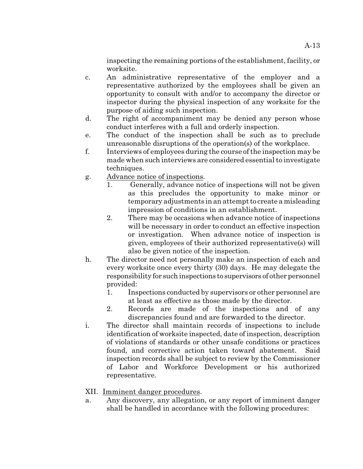inspecting the remaining portions of the establishment, facility, or worksite.

- c. An administrative representative of the employer and a representative authorized by the employees shall be given an opportunity to consult with and/or to accompany the director or inspector during the physical inspection of any worksite for the purpose of aiding such inspection.
- d. The right of accompaniment may be denied any person whose conduct interferes with a full and orderly inspection.
- e. The conduct of the inspection shall be such as to preclude unreasonable disruptions of the operation(s) of the workplace.
- f. Interviews of employees during the course of the inspection may be made when such interviews are considered essential to investigate techniques.
- g. Advance notice of inspections.
	- 1. Generally, advance notice of inspections will not be given as this precludes the opportunity to make minor or temporary adjustments in an attempt to create a misleading impression of conditions in an establishment.
	- 2. There may be occasions when advance notice of inspections will be necessary in order to conduct an effective inspection or investigation. When advance notice of inspection is given, employees of their authorized representative(s) will also be given notice of the inspection.
- h. The director need not personally make an inspection of each and every worksite once every thirty (30) days. He may delegate the responsibility for such inspections to supervisors of other personnel provided:
	- 1. Inspections conducted by supervisors or other personnel are at least as effective as those made by the director.
	- 2. Records are made of the inspections and of any discrepancies found and are forwarded to the director.
- i. The director shall maintain records of inspections to include identification of worksite inspected, date of inspection, description of violations of standards or other unsafe conditions or practices found, and corrective action taken toward abatement. Said inspection records shall be subject to review by the Commissioner of Labor and Workforce Development or his authorized representative.
- XII. Imminent danger procedures.
- a. Any discovery, any allegation, or any report of imminent danger shall be handled in accordance with the following procedures: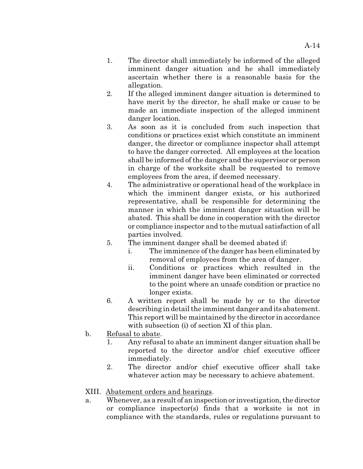- 1. The director shall immediately be informed of the alleged imminent danger situation and he shall immediately ascertain whether there is a reasonable basis for the allegation.
- 2. If the alleged imminent danger situation is determined to have merit by the director, he shall make or cause to be made an immediate inspection of the alleged imminent danger location.
- 3. As soon as it is concluded from such inspection that conditions or practices exist which constitute an imminent danger, the director or compliance inspector shall attempt to have the danger corrected. All employees at the location shall be informed of the danger and the supervisor or person in charge of the worksite shall be requested to remove employees from the area, if deemed necessary.
- 4. The administrative or operational head of the workplace in which the imminent danger exists, or his authorized representative, shall be responsible for determining the manner in which the imminent danger situation will be abated. This shall be done in cooperation with the director or compliance inspector and to the mutual satisfaction of all parties involved.
- 5. The imminent danger shall be deemed abated if:
	- i. The imminence of the danger has been eliminated by removal of employees from the area of danger.
	- ii. Conditions or practices which resulted in the imminent danger have been eliminated or corrected to the point where an unsafe condition or practice no longer exists.
- 6. A written report shall be made by or to the director describing in detail the imminent danger and its abatement. This report will be maintained by the director in accordance with subsection (i) of section XI of this plan.
- b. Refusal to abate.
	- 1. Any refusal to abate an imminent danger situation shall be reported to the director and/or chief executive officer immediately.
	- 2. The director and/or chief executive officer shall take whatever action may be necessary to achieve abatement.

# XIII. Abatement orders and hearings.

a. Whenever, as a result of an inspection or investigation, the director or compliance inspector(s) finds that a worksite is not in compliance with the standards, rules or regulations pursuant to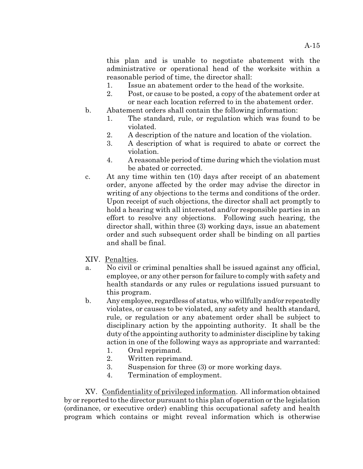this plan and is unable to negotiate abatement with the administrative or operational head of the worksite within a reasonable period of time, the director shall:

- 1. Issue an abatement order to the head of the worksite.
- 2. Post, or cause to be posted, a copy of the abatement order at or near each location referred to in the abatement order.
- b. Abatement orders shall contain the following information:
	- 1. The standard, rule, or regulation which was found to be violated.
	- 2. A description of the nature and location of the violation.
	- 3. A description of what is required to abate or correct the violation.
	- 4. A reasonable period of time during which the violation must be abated or corrected.
- c. At any time within ten (10) days after receipt of an abatement order, anyone affected by the order may advise the director in writing of any objections to the terms and conditions of the order. Upon receipt of such objections, the director shall act promptly to hold a hearing with all interested and/or responsible parties in an effort to resolve any objections. Following such hearing, the director shall, within three (3) working days, issue an abatement order and such subsequent order shall be binding on all parties and shall be final.
- XIV. Penalties.
- a. No civil or criminal penalties shall be issued against any official, employee, or any other person for failure to comply with safety and health standards or any rules or regulations issued pursuant to this program.
- b. Any employee, regardless of status, who willfully and/or repeatedly violates, or causes to be violated, any safety and health standard, rule, or regulation or any abatement order shall be subject to disciplinary action by the appointing authority. It shall be the duty of the appointing authority to administer discipline by taking action in one of the following ways as appropriate and warranted:
	- 1. Oral reprimand.
	- 2. Written reprimand.
	- 3. Suspension for three (3) or more working days.
	- 4. Termination of employment.

XV. Confidentiality of privileged information. All information obtained by or reported to the director pursuant to this plan of operation or the legislation (ordinance, or executive order) enabling this occupational safety and health program which contains or might reveal information which is otherwise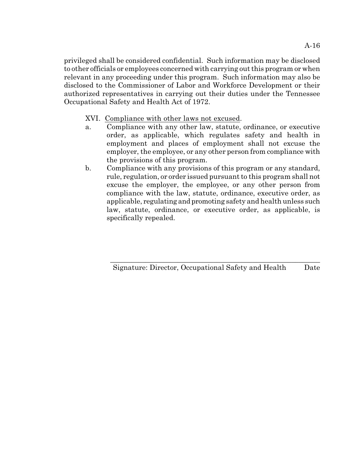privileged shall be considered confidential. Such information may be disclosed to other officials or employees concerned with carrying out this program or when relevant in any proceeding under this program. Such information may also be disclosed to the Commissioner of Labor and Workforce Development or their authorized representatives in carrying out their duties under the Tennessee Occupational Safety and Health Act of 1972.

XVI. Compliance with other laws not excused.

- a. Compliance with any other law, statute, ordinance, or executive order, as applicable, which regulates safety and health in employment and places of employment shall not excuse the employer, the employee, or any other person from compliance with the provisions of this program.
- b. Compliance with any provisions of this program or any standard, rule, regulation, or order issued pursuant to this program shall not excuse the employer, the employee, or any other person from compliance with the law, statute, ordinance, executive order, as applicable, regulating and promoting safety and health unless such law, statute, ordinance, or executive order, as applicable, is specifically repealed.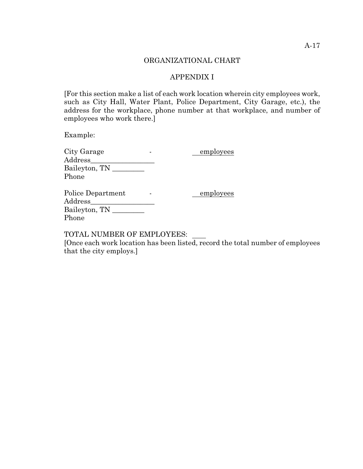#### ORGANIZATIONAL CHART

#### APPENDIX I

[For this section make a list of each work location wherein city employees work, such as City Hall, Water Plant, Police Department, City Garage, etc.), the address for the workplace, phone number at that workplace, and number of employees who work there.]

Example:

| City Garage       | employees |
|-------------------|-----------|
| Address           |           |
| Baileyton, TN     |           |
| Phone             |           |
| Police Department | employees |
| Address           |           |
| Baileyton, TN     |           |
| Phone             |           |
|                   |           |

TOTAL NUMBER OF EMPLOYEES:

[Once each work location has been listed, record the total number of employees that the city employs.]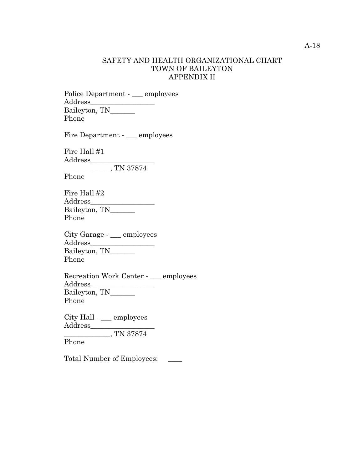#### SAFETY AND HEALTH ORGANIZATIONAL CHART TOWN OF BAILEYTON APPENDIX II

Police Department - \_\_\_ employees Address\_\_\_\_\_\_\_\_\_\_\_\_\_\_\_\_\_\_ Baileyton, TN\_\_\_\_\_\_\_ Phone

Fire Department - \_\_\_ employees

Fire Hall #1 Address\_\_\_\_\_\_\_\_\_\_\_\_\_\_\_\_\_\_  $\overline{\phantom{1.55\,1.0}\cdot}$  TN 37874

Phone

Fire Hall #2 Address\_\_\_\_\_\_\_\_\_\_\_\_\_\_\_\_\_\_ Baileyton, TN\_\_\_\_\_\_\_ Phone

City Garage - \_\_\_ employees Address\_\_\_\_\_\_\_\_\_\_\_\_\_\_\_\_\_\_ Baileyton, TN\_\_\_\_\_\_\_ Phone

Recreation Work Center - \_\_\_ employees Address\_\_\_\_\_\_\_\_\_\_\_\_\_\_\_\_\_\_ Baileyton, TN\_\_\_\_\_\_\_\_ Phone

City Hall - \_\_\_ employees Address\_\_\_\_\_\_\_\_\_\_\_\_\_\_\_\_\_\_  $\frac{1}{\sqrt{25}}$ , TN 37874

Phone

Total Number of Employees: \_\_\_\_\_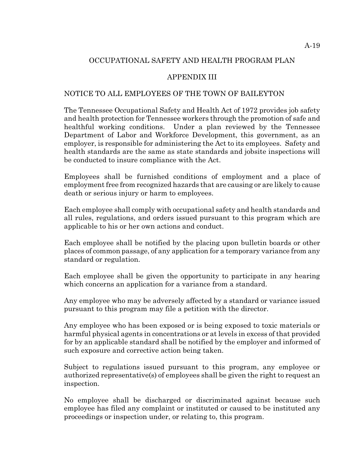# OCCUPATIONAL SAFETY AND HEALTH PROGRAM PLAN

# APPENDIX III

# NOTICE TO ALL EMPLOYEES OF THE TOWN OF BAILEYTON

The Tennessee Occupational Safety and Health Act of 1972 provides job safety and health protection for Tennessee workers through the promotion of safe and healthful working conditions. Under a plan reviewed by the Tennessee Department of Labor and Workforce Development, this government, as an employer, is responsible for administering the Act to its employees. Safety and health standards are the same as state standards and jobsite inspections will be conducted to insure compliance with the Act.

Employees shall be furnished conditions of employment and a place of employment free from recognized hazards that are causing or are likely to cause death or serious injury or harm to employees.

Each employee shall comply with occupational safety and health standards and all rules, regulations, and orders issued pursuant to this program which are applicable to his or her own actions and conduct.

Each employee shall be notified by the placing upon bulletin boards or other places of common passage, of any application for a temporary variance from any standard or regulation.

Each employee shall be given the opportunity to participate in any hearing which concerns an application for a variance from a standard.

Any employee who may be adversely affected by a standard or variance issued pursuant to this program may file a petition with the director.

Any employee who has been exposed or is being exposed to toxic materials or harmful physical agents in concentrations or at levels in excess of that provided for by an applicable standard shall be notified by the employer and informed of such exposure and corrective action being taken.

Subject to regulations issued pursuant to this program, any employee or authorized representative(s) of employees shall be given the right to request an inspection.

No employee shall be discharged or discriminated against because such employee has filed any complaint or instituted or caused to be instituted any proceedings or inspection under, or relating to, this program.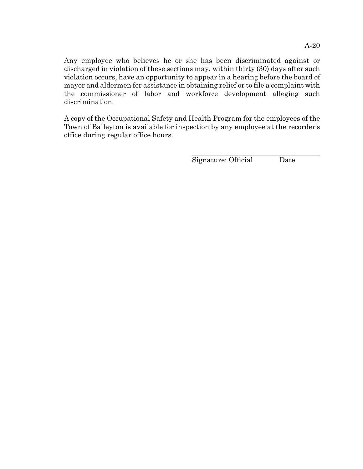Any employee who believes he or she has been discriminated against or discharged in violation of these sections may, within thirty (30) days after such violation occurs, have an opportunity to appear in a hearing before the board of mayor and aldermen for assistance in obtaining relief or to file a complaint with the commissioner of labor and workforce development alleging such discrimination.

A copy of the Occupational Safety and Health Program for the employees of the Town of Baileyton is available for inspection by any employee at the recorder's office during regular office hours.

 $\overline{a}$ 

Signature: Official Date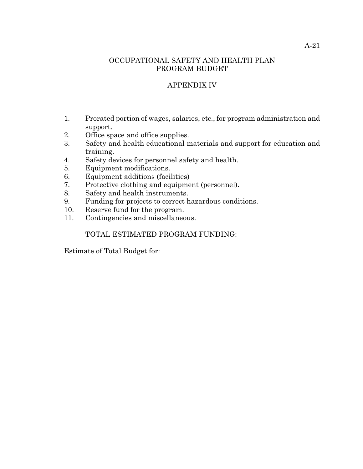### OCCUPATIONAL SAFETY AND HEALTH PLAN PROGRAM BUDGET

# APPENDIX IV

- 1. Prorated portion of wages, salaries, etc., for program administration and support.
- 2. Office space and office supplies.
- 3. Safety and health educational materials and support for education and training.
- 4. Safety devices for personnel safety and health.
- 5. Equipment modifications.
- 6. Equipment additions (facilities)
- 7. Protective clothing and equipment (personnel).
- 8. Safety and health instruments.
- 9. Funding for projects to correct hazardous conditions.
- 10. Reserve fund for the program.
- 11. Contingencies and miscellaneous.

# TOTAL ESTIMATED PROGRAM FUNDING:

Estimate of Total Budget for: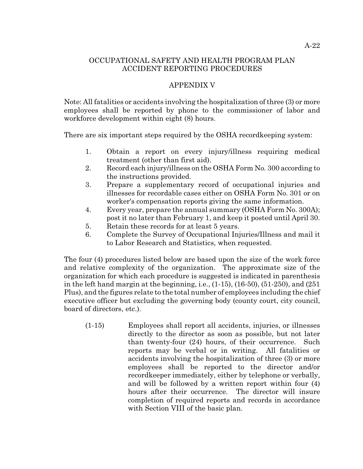#### OCCUPATIONAL SAFETY AND HEALTH PROGRAM PLAN ACCIDENT REPORTING PROCEDURES

#### APPENDIX V

Note: All fatalities or accidents involving the hospitalization of three (3) or more employees shall be reported by phone to the commissioner of labor and workforce development within eight (8) hours.

There are six important steps required by the OSHA recordkeeping system:

- 1. Obtain a report on every injury/illness requiring medical treatment (other than first aid).
- 2. Record each injury/illness on the OSHA Form No. 300 according to the instructions provided.
- 3. Prepare a supplementary record of occupational injuries and illnesses for recordable cases either on OSHA Form No. 301 or on worker's compensation reports giving the same information.
- 4. Every year, prepare the annual summary (OSHA Form No. 300A); post it no later than February 1, and keep it posted until April 30.
- 5. Retain these records for at least 5 years.
- 6. Complete the Survey of Occupational Injuries/Illness and mail it to Labor Research and Statistics, when requested.

The four (4) procedures listed below are based upon the size of the work force and relative complexity of the organization. The approximate size of the organization for which each procedure is suggested is indicated in parenthesis in the left hand margin at the beginning, i.e.,  $(1-15)$ ,  $(16-50)$ ,  $(51-250)$ , and  $(251)$ Plus), and the figures relate to the total number of employees including the chief executive officer but excluding the governing body (county court, city council, board of directors, etc.).

(1-15) Employees shall report all accidents, injuries, or illnesses directly to the director as soon as possible, but not later than twenty-four (24) hours, of their occurrence. Such reports may be verbal or in writing. All fatalities or accidents involving the hospitalization of three (3) or more employees shall be reported to the director and/or recordkeeper immediately, either by telephone or verbally, and will be followed by a written report within four (4) hours after their occurrence. The director will insure completion of required reports and records in accordance with Section VIII of the basic plan.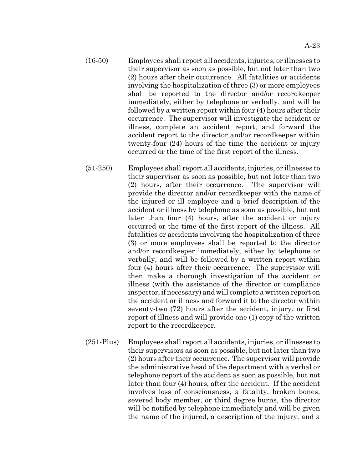- (16-50) Employees shall report all accidents, injuries, or illnesses to their supervisor as soon as possible, but not later than two (2) hours after their occurrence. All fatalities or accidents involving the hospitalization of three (3) or more employees shall be reported to the director and/or recordkeeper immediately, either by telephone or verbally, and will be followed by a written report within four (4) hours after their occurrence. The supervisor will investigate the accident or illness, complete an accident report, and forward the accident report to the director and/or recordkeeper within twenty-four (24) hours of the time the accident or injury occurred or the time of the first report of the illness.
- (51-250) Employees shall report all accidents, injuries, or illnesses to their supervisor as soon as possible, but not later than two (2) hours, after their occurrence. The supervisor will provide the director and/or recordkeeper with the name of the injured or ill employee and a brief description of the accident or illness by telephone as soon as possible, but not later than four (4) hours, after the accident or injury occurred or the time of the first report of the illness. All fatalities or accidents involving the hospitalization of three (3) or more employees shall be reported to the director and/or recordkeeper immediately, either by telephone or verbally, and will be followed by a written report within four (4) hours after their occurrence. The supervisor will then make a thorough investigation of the accident or illness (with the assistance of the director or compliance inspector, if necessary) and will complete a written report on the accident or illness and forward it to the director within seventy-two (72) hours after the accident, injury, or first report of illness and will provide one (1) copy of the written report to the recordkeeper.
- (251-Plus) Employees shall report all accidents, injuries, or illnesses to their supervisors as soon as possible, but not later than two (2) hours after their occurrence. The supervisor will provide the administrative head of the department with a verbal or telephone report of the accident as soon as possible, but not later than four (4) hours, after the accident. If the accident involves loss of consciousness, a fatality, broken bones, severed body member, or third degree burns, the director will be notified by telephone immediately and will be given the name of the injured, a description of the injury, and a